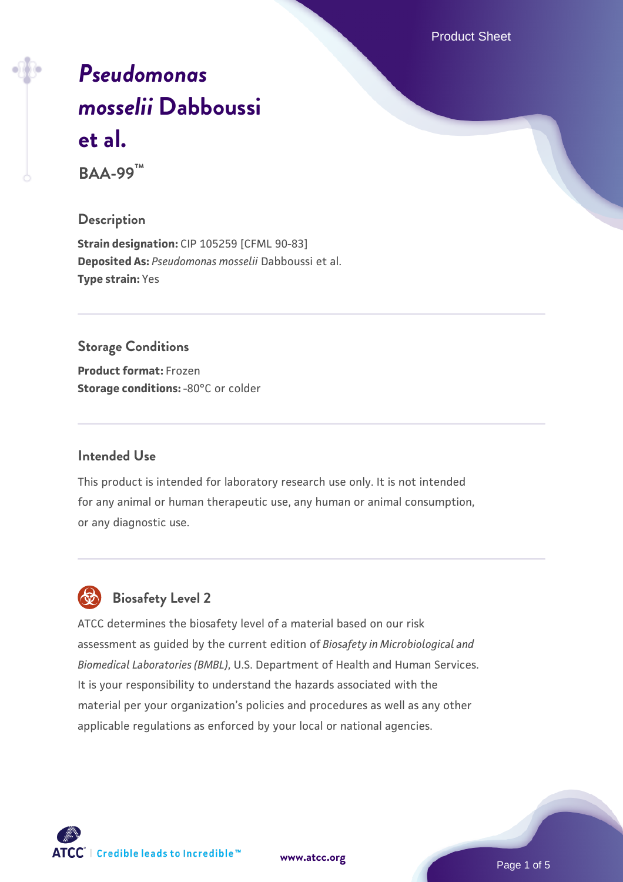Product Sheet

# *[Pseudomonas](https://www.atcc.org/products/baa-99) [mosselii](https://www.atcc.org/products/baa-99)* **[Dabboussi](https://www.atcc.org/products/baa-99) [et al.](https://www.atcc.org/products/baa-99)**

**BAA-99™**

#### **Description**

**Strain designation:** CIP 105259 [CFML 90-83] **Deposited As:** *Pseudomonas mosselii* Dabboussi et al. **Type strain:** Yes

#### **Storage Conditions**

**Product format:** Frozen **Storage conditions: -80°C or colder** 

#### **Intended Use**

This product is intended for laboratory research use only. It is not intended for any animal or human therapeutic use, any human or animal consumption, or any diagnostic use.



# **Biosafety Level 2**

ATCC determines the biosafety level of a material based on our risk assessment as guided by the current edition of *Biosafety in Microbiological and Biomedical Laboratories (BMBL)*, U.S. Department of Health and Human Services. It is your responsibility to understand the hazards associated with the material per your organization's policies and procedures as well as any other applicable regulations as enforced by your local or national agencies.

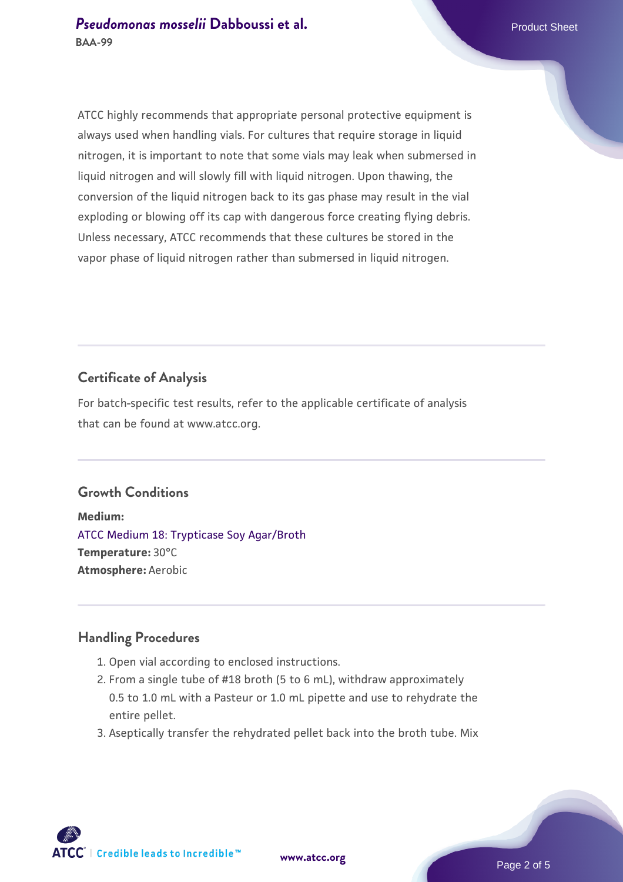ATCC highly recommends that appropriate personal protective equipment is always used when handling vials. For cultures that require storage in liquid nitrogen, it is important to note that some vials may leak when submersed in liquid nitrogen and will slowly fill with liquid nitrogen. Upon thawing, the conversion of the liquid nitrogen back to its gas phase may result in the vial exploding or blowing off its cap with dangerous force creating flying debris. Unless necessary, ATCC recommends that these cultures be stored in the vapor phase of liquid nitrogen rather than submersed in liquid nitrogen.

# **Certificate of Analysis**

For batch-specific test results, refer to the applicable certificate of analysis that can be found at www.atcc.org.

#### **Growth Conditions**

**Medium:**  [ATCC Medium 18: Trypticase Soy Agar/Broth](https://www.atcc.org/-/media/product-assets/documents/microbial-media-formulations/1/8/atcc-medium-18.pdf?rev=832846e1425841f19fc70569848edae7) **Temperature:** 30°C **Atmosphere:** Aerobic

#### **Handling Procedures**

- 1. Open vial according to enclosed instructions.
- 2. From a single tube of #18 broth (5 to 6 mL), withdraw approximately 0.5 to 1.0 mL with a Pasteur or 1.0 mL pipette and use to rehydrate the entire pellet.
- 3. Aseptically transfer the rehydrated pellet back into the broth tube. Mix

**ATCC** | Credible leads to Incredible™

**[www.atcc.org](http://www.atcc.org)**

Page 2 of 5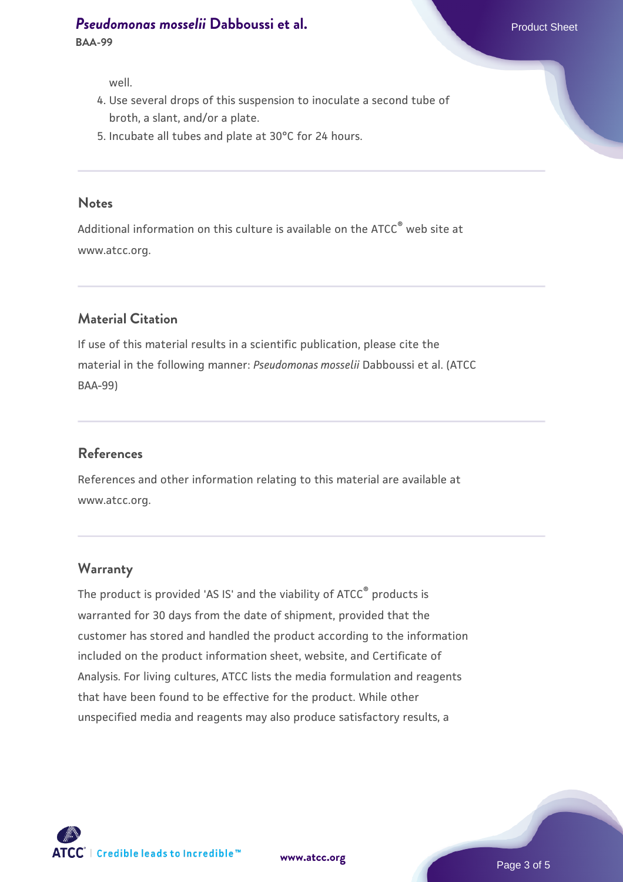### **[Pseudomonas mosselii](https://www.atcc.org/products/baa-99) [Dabboussi et al.](https://www.atcc.org/products/baa-99)** Product Sheet

**BAA-99**

well.

- 4. Use several drops of this suspension to inoculate a second tube of broth, a slant, and/or a plate.
- 5. Incubate all tubes and plate at 30°C for 24 hours.

#### **Notes**

Additional information on this culture is available on the ATCC® web site at www.atcc.org.

# **Material Citation**

If use of this material results in a scientific publication, please cite the material in the following manner: *Pseudomonas mosselii* Dabboussi et al. (ATCC BAA-99)

#### **References**

References and other information relating to this material are available at www.atcc.org.

#### **Warranty**

The product is provided 'AS IS' and the viability of ATCC® products is warranted for 30 days from the date of shipment, provided that the customer has stored and handled the product according to the information included on the product information sheet, website, and Certificate of Analysis. For living cultures, ATCC lists the media formulation and reagents that have been found to be effective for the product. While other unspecified media and reagents may also produce satisfactory results, a



**[www.atcc.org](http://www.atcc.org)**

Page 3 of 5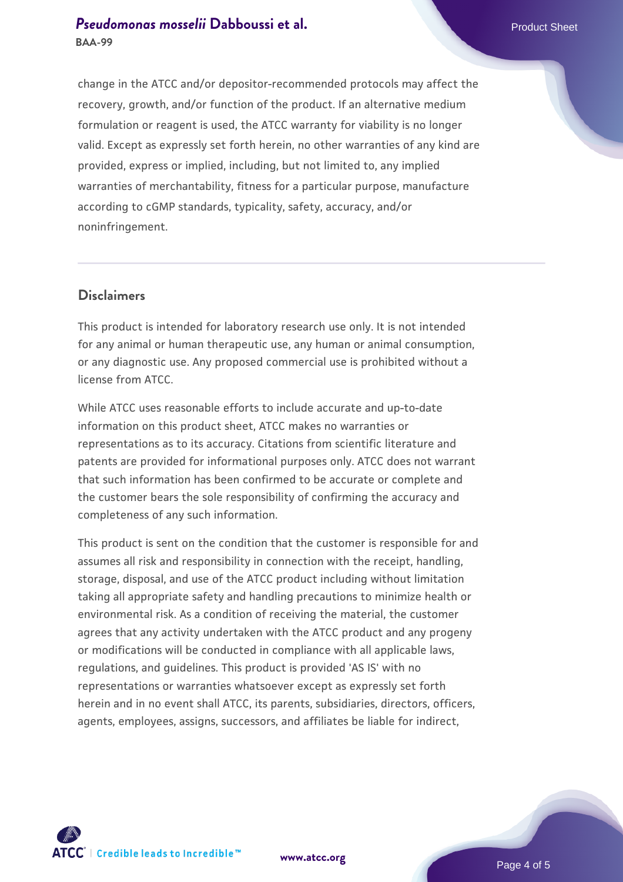# **[Pseudomonas mosselii](https://www.atcc.org/products/baa-99) [Dabboussi et al.](https://www.atcc.org/products/baa-99)** Product Sheet **BAA-99**

change in the ATCC and/or depositor-recommended protocols may affect the recovery, growth, and/or function of the product. If an alternative medium formulation or reagent is used, the ATCC warranty for viability is no longer valid. Except as expressly set forth herein, no other warranties of any kind are provided, express or implied, including, but not limited to, any implied warranties of merchantability, fitness for a particular purpose, manufacture according to cGMP standards, typicality, safety, accuracy, and/or noninfringement.

## **Disclaimers**

This product is intended for laboratory research use only. It is not intended for any animal or human therapeutic use, any human or animal consumption, or any diagnostic use. Any proposed commercial use is prohibited without a license from ATCC.

While ATCC uses reasonable efforts to include accurate and up-to-date information on this product sheet, ATCC makes no warranties or representations as to its accuracy. Citations from scientific literature and patents are provided for informational purposes only. ATCC does not warrant that such information has been confirmed to be accurate or complete and the customer bears the sole responsibility of confirming the accuracy and completeness of any such information.

This product is sent on the condition that the customer is responsible for and assumes all risk and responsibility in connection with the receipt, handling, storage, disposal, and use of the ATCC product including without limitation taking all appropriate safety and handling precautions to minimize health or environmental risk. As a condition of receiving the material, the customer agrees that any activity undertaken with the ATCC product and any progeny or modifications will be conducted in compliance with all applicable laws, regulations, and guidelines. This product is provided 'AS IS' with no representations or warranties whatsoever except as expressly set forth herein and in no event shall ATCC, its parents, subsidiaries, directors, officers, agents, employees, assigns, successors, and affiliates be liable for indirect,